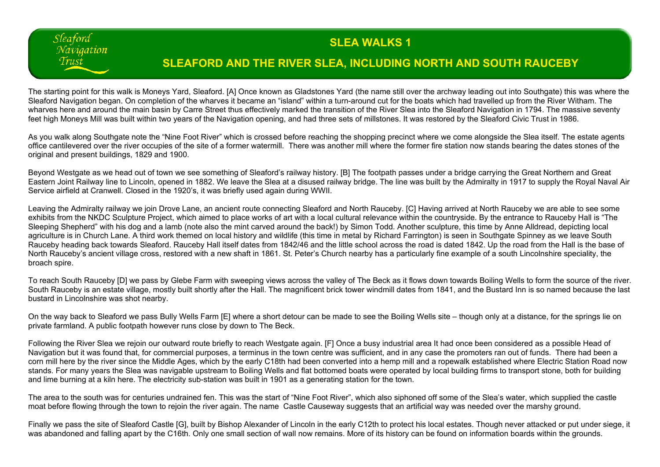## **SLEA WALKS 1**

## **SLEAFORD AND THE RIVER SLEA, INCLUDING NORTH AND SOUTH RAUCEBY**

The starting point for this walk is Moneys Yard, Sleaford. [A] Once known as Gladstones Yard (the name still over the archway leading out into Southgate) this was where the Sleaford Navigation began. On completion of the wharves it became an "island" within a turn-around cut for the boats which had travelled up from the River Witham. The wharves here and around the main basin by Carre Street thus effectively marked the transition of the River Slea into the Sleaford Navigation in 1794. The massive seventy feet high Moneys Mill was built within two years of the Navigation opening, and had three sets of millstones. It was restored by the Sleaford Civic Trust in 1986.

Sleaford Navigation Trust

As you walk along Southgate note the "Nine Foot River" which is crossed before reaching the shopping precinct where we come alongside the Slea itself. The estate agents office cantilevered over the river occupies of the site of a former watermill. There was another mill where the former fire station now stands bearing the dates stones of the original and present buildings, 1829 and 1900.

Beyond Westgate as we head out of town we see something of Sleaford's railway history. [B] The footpath passes under a bridge carrying the Great Northern and Great Eastern Joint Railway line to Lincoln, opened in 1882. We leave the Slea at a disused railway bridge. The line was built by the Admiralty in 1917 to supply the Royal Naval Air Service airfield at Cranwell. Closed in the 1920's, it was briefly used again during WWII.

Leaving the Admiralty railway we join Drove Lane, an ancient route connecting Sleaford and North Rauceby. [C] Having arrived at North Rauceby we are able to see some exhibits from the NKDC Sculpture Project, which aimed to place works of art with a local cultural relevance within the countryside. By the entrance to Rauceby Hall is "The Sleeping Shepherd" with his dog and a lamb (note also the mint carved around the back!) by Simon Todd. Another sculpture, this time by Anne Alldread, depicting local agriculture is in Church Lane. A third work themed on local history and wildlife (this time in metal by Richard Farrington) is seen in Southgate Spinney as we leave South Rauceby heading back towards Sleaford. Rauceby Hall itself dates from 1842/46 and the little school across the road is dated 1842. Up the road from the Hall is the base of North Rauceby's ancient village cross, restored with a new shaft in 1861. St. Peter's Church nearby has a particularly fine example of a south Lincolnshire speciality, the broach spire.

To reach South Rauceby [D] we pass by Glebe Farm with sweeping views across the valley of The Beck as it flows down towards Boiling Wells to form the source of the river. South Rauceby is an estate village, mostly built shortly after the Hall. The magnificent brick tower windmill dates from 1841, and the Bustard Inn is so named because the last bustard in Lincolnshire was shot nearby.

On the way back to Sleaford we pass Bully Wells Farm [E] where a short detour can be made to see the Boiling Wells site – though only at a distance, for the springs lie on private farmland. A public footpath however runs close by down to The Beck.

Following the River Slea we rejoin our outward route briefly to reach Westgate again. [F] Once a busy industrial area It had once been considered as a possible Head of Navigation but it was found that, for commercial purposes, a terminus in the town centre was sufficient, and in any case the promoters ran out of funds. There had been a corn mill here by the river since the Middle Ages, which by the early C18th had been converted into a hemp mill and a ropewalk established where Electric Station Road now stands. For many years the Slea was navigable upstream to Boiling Wells and flat bottomed boats were operated by local building firms to transport stone, both for building and lime burning at a kiln here. The electricity sub-station was built in 1901 as a generating station for the town.

The area to the south was for centuries undrained fen. This was the start of "Nine Foot River", which also siphoned off some of the Slea's water, which supplied the castle moat before flowing through the town to rejoin the river again. The name Castle Causeway suggests that an artificial way was needed over the marshy ground.

Finally we pass the site of Sleaford Castle [G], built by Bishop Alexander of Lincoln in the early C12th to protect his local estates. Though never attacked or put under siege, it was abandoned and falling apart by the C16th. Only one small section of wall now remains. More of its history can be found on information boards within the grounds.